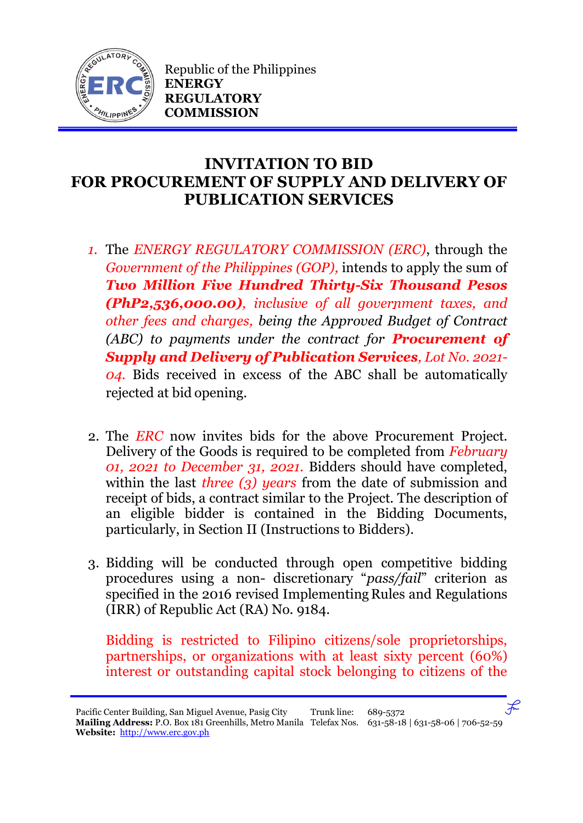

Republic of the Philippines **ENERGY REGULATORY COMMISSION**

## **INVITATION TO BID FOR PROCUREMENT OF SUPPLY AND DELIVERY OF PUBLICATION SERVICES**

- *1.* The *ENERGY REGULATORY COMMISSION (ERC)*, through the *Government of the Philippines (GOP),* intends to apply the sum of *Two Million Five Hundred Thirty-Six Thousand Pesos (PhP2,536,000.00), inclusive of all government taxes, and other fees and charges, being the Approved Budget of Contract (ABC) to payments under the contract for Procurement of Supply and Delivery of Publication Services, Lot No. 2021- 04.* Bids received in excess of the ABC shall be automatically rejected at bid opening.
- 2. The *ERC* now invites bids for the above Procurement Project. Delivery of the Goods is required to be completed from *February 01, 2021 to December 31, 2021.* Bidders should have completed, within the last *three (3) years* from the date of submission and receipt of bids, a contract similar to the Project. The description of an eligible bidder is contained in the Bidding Documents, particularly, in Section II (Instructions to Bidders).
- 3. Bidding will be conducted through open competitive bidding procedures using a non- discretionary "*pass/fail*" criterion as specified in the 2016 revised Implementing Rules and Regulations (IRR) of Republic Act (RA) No. 9184.

Bidding is restricted to Filipino citizens/sole proprietorships, partnerships, or organizations with at least sixty percent (60%) interest or outstanding capital stock belonging to citizens of the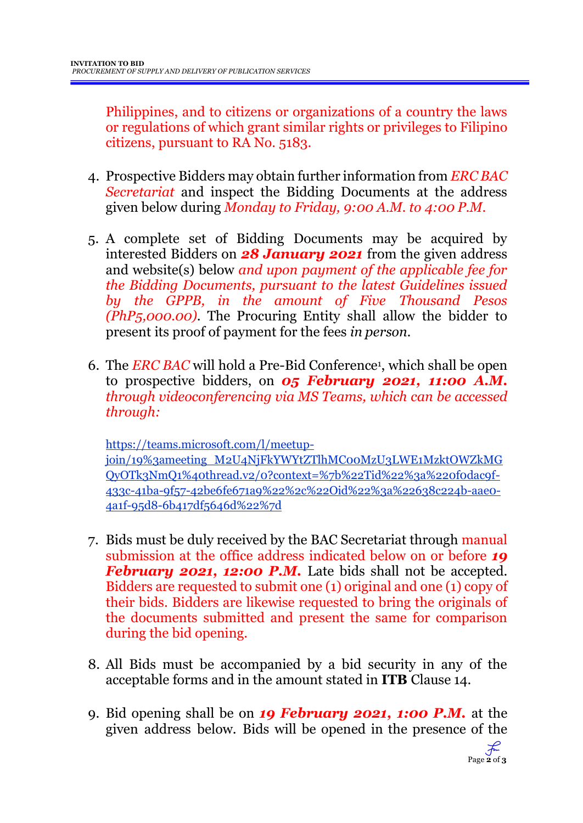Philippines, and to citizens or organizations of a country the laws or regulations of which grant similar rights or privileges to Filipino citizens, pursuant to RA No. 5183.

- 4. Prospective Bidders may obtain further information from *ERC BAC Secretariat* and inspect the Bidding Documents at the address given below during *Monday to Friday, 9:00 A.M. to 4:00 P.M*.
- 5. A complete set of Bidding Documents may be acquired by interested Bidders on *28 January 2021* from the given address and website(s) below *and upon payment of the applicable fee for the Bidding Documents, pursuant to the latest Guidelines issued by the GPPB, in the amount of Five Thousand Pesos (PhP5,000.00)*. The Procuring Entity shall allow the bidder to present its proof of payment for the fees *in person.*
- 6. The *ERC BAC* will hold a Pre-Bid Conference<sup>1</sup> , which shall be open to prospective bidders, on *05 February 2021, 11:00 A.M. through videoconferencing via MS Teams, which can be accessed through:*

https://teams.microsoft.com/l/meetupjoin/19%3ameeting\_M2U4NjFkYWYtZTlhMC00MzU3LWE1MzktOWZkMG QyOTk3NmQ1%40thread.v2/0?context=%7b%22Tid%22%3a%220f0dac9f-433c-41ba-9f57-42be6fe671a9%22%2c%22Oid%22%3a%22638c224b-aae0- 4a1f-95d8-6b417df5646d%22%7d

- 7. Bids must be duly received by the BAC Secretariat through manual submission at the office address indicated below on or before *19 February 2021, 12:00 P.M.* Late bids shall not be accepted. Bidders are requested to submit one (1) original and one (1) copy of their bids. Bidders are likewise requested to bring the originals of the documents submitted and present the same for comparison during the bid opening.
- 8. All Bids must be accompanied by a bid security in any of the acceptable forms and in the amount stated in **ITB** Clause 14.
- 9. Bid opening shall be on *19 February 2021, 1:00 P.M.* at the given address below. Bids will be opened in the presence of the